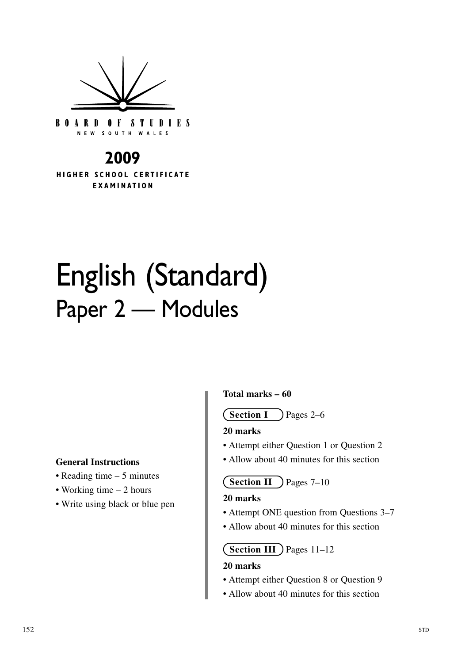

**BOARD OF STUDIES** NEW SOUTH WALES

# **2009**

**HIGHER SCHOOL CERTIFICATE EXAMINATION** 

# English (Standard) Paper 2 — Modules

#### **General Instructions**

- Reading time 5 minutes
- Working time 2 hours
- Write using black or blue pen

#### **Total marks – 60**

**Section I** Pages 2–6

#### **20 marks**

- Attempt either Question 1 or Question 2
- Allow about 40 minutes for this section

**Section II** ) Pages 7–10

#### **20 marks**

- Attempt ONE question from Questions 3–7
- Allow about 40 minutes for this section

# **Section III** Pages 11–12

#### **20 marks**

- Attempt either Question 8 or Question 9
- Allow about 40 minutes for this section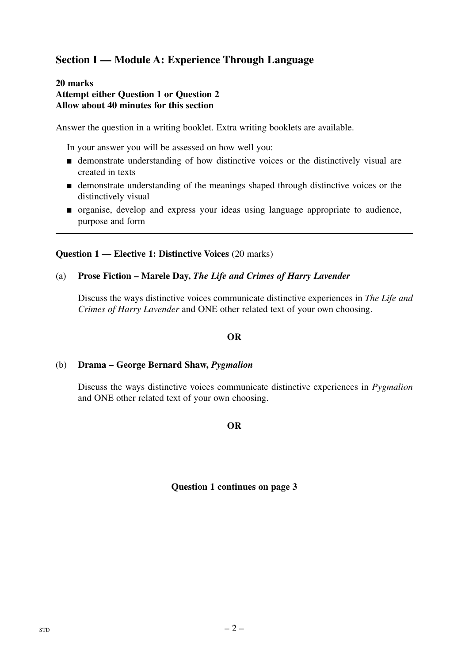# **Section I — Module A: Experience Through Language**

#### **20 marks Attempt either Question 1 or Question 2 Allow about 40 minutes for this section**

Answer the question in a writing booklet. Extra writing booklets are available.

In your answer you will be assessed on how well you:

- demonstrate understanding of how distinctive voices or the distinctively visual are created in texts
- demonstrate understanding of the meanings shaped through distinctive voices or the distinctively visual
- organise, develop and express your ideas using language appropriate to audience, purpose and form

#### **Question 1 — Elective 1: Distinctive Voices** (20 marks)

#### (a) **Prose Fiction – Marele Day,** *The Life and Crimes of Harry Lavender*

Discuss the ways distinctive voices communicate distinctive experiences in *The Life and Crimes of Harry Lavender* and ONE other related text of your own choosing.

# **OR**

#### (b) **Drama – George Bernard Shaw,** *Pygmalion*

Discuss the ways distinctive voices communicate distinctive experiences in *Pygmalion*  and ONE other related text of your own choosing.

#### **OR**

#### **Question 1 continues on page 3**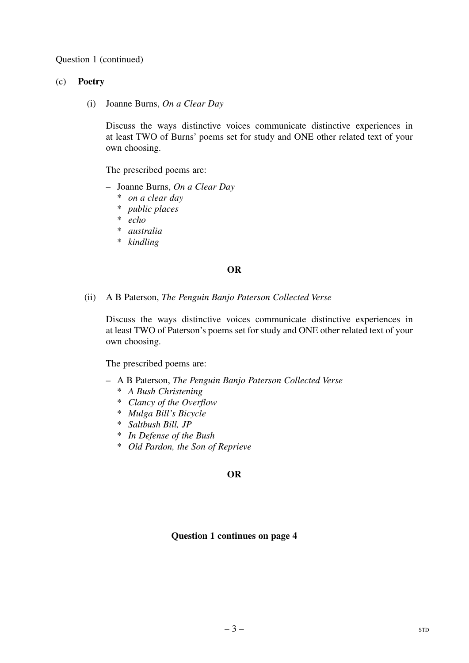Question 1 (continued)

#### (c) **Poetry**

(i) Joanne Burns, *On a Clear Day* 

Discuss the ways distinctive voices communicate distinctive experiences in at least TWO of Burns' poems set for study and ONE other related text of your own choosing.

The prescribed poems are:

- – Joanne Burns, *On a Clear Day* 
	- \* *on a clear day*
	- \* *public places*
	- \* *echo*
	- \* *australia*
	- \* *kindling*

#### **OR**

(ii) A B Paterson, *The Penguin Banjo Paterson Collected Verse* 

Discuss the ways distinctive voices communicate distinctive experiences in at least TWO of Paterson's poems set for study and ONE other related text of your own choosing.

The prescribed poems are:

- – A B Paterson, *The Penguin Banjo Paterson Collected Verse* 
	- \* *A Bush Christening*
	- \* *Clancy of the Overflow*
	- \* *Mulga Bill's Bicycle*
	- \* *Saltbush Bill, JP*
	- \* *In Defense of the Bush*
	- \* *Old Pardon, the Son of Reprieve*

#### **OR**

#### **Question 1 continues on page 4**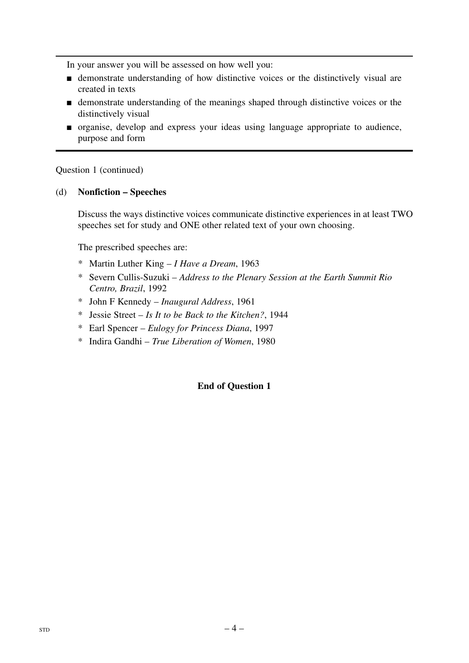- demonstrate understanding of how distinctive voices or the distinctively visual are created in texts
- demonstrate understanding of the meanings shaped through distinctive voices or the distinctively visual
- organise, develop and express your ideas using language appropriate to audience, purpose and form

Question 1 (continued)

# (d) **Nonfiction – Speeches**

Discuss the ways distinctive voices communicate distinctive experiences in at least TWO speeches set for study and ONE other related text of your own choosing.

The prescribed speeches are:

- \* Martin Luther King *I Have a Dream*, 1963
- \* Severn Cullis-Suzuki *Address to the Plenary Session at the Earth Summit Rio Centro, Brazil*, 1992
- \* John F Kennedy *Inaugural Address*, 1961
- \* Jessie Street *Is It to be Back to the Kitchen?*, 1944
- \* Earl Spencer *Eulogy for Princess Diana*, 1997
- \* Indira Gandhi *True Liberation of Women*, 1980

# **End of Question 1**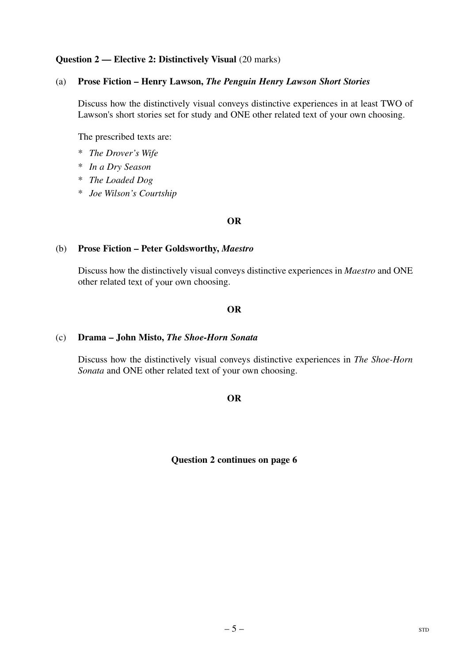#### **Question 2 — Elective 2: Distinctively Visual (20 marks)**

#### (a) **Prose Fiction – Henry Lawson,** *The Penguin Henry Lawson Short Stories*

Discuss how the distinctively visual conveys distinctive experiences in at least TWO of Lawson's short stories set for study and ONE other related text of your own choosing.

The prescribed texts are:

- \* *The Drover's Wife*
- \* *In a Dry Season*
- \* *The Loaded Dog*
- \* *Joe Wilson's Courtship*

#### **OR**

#### (b) **Prose Fiction – Peter Goldsworthy,** *Maestro*

Discuss how the distinctively visual conveys distinctive experiences in *Maestro* and ONE other related text of your own choosing.

#### **OR**

#### (c) **Drama – John Misto,** *The Shoe-Horn Sonata*

Discuss how the distinctively visual conveys distinctive experiences in *The Shoe-Horn Sonata* and ONE other related text of your own choosing.

#### **OR**

**Question 2 continues on page 6**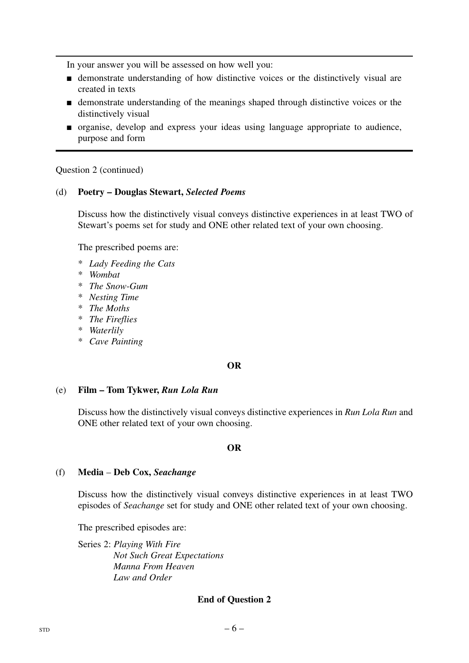- demonstrate understanding of how distinctive voices or the distinctively visual are created in texts
- demonstrate understanding of the meanings shaped through distinctive voices or the distinctively visual
- organise, develop and express your ideas using language appropriate to audience, purpose and form

Question 2 (continued)

#### (d) **Poetry – Douglas Stewart,** *Selected Poems*

Discuss how the distinctively visual conveys distinctive experiences in at least TWO of Stewart's poems set for study and ONE other related text of your own choosing.

The prescribed poems are:

- \* *Lady Feeding the Cats*
- \* *Wombat*
- \* *The Snow-Gum*
- \* *Nesting Time*
- \* *The Moths*
- \* *The Fireflies*
- \* *Waterlily*
- \* *Cave Painting*

#### **OR**

#### (e) **Film – Tom Tykwer,** *Run Lola Run*

Discuss how the distinctively visual conveys distinctive experiences in *Run Lola Run* and ONE other related text of your own choosing.

#### **OR**

#### (f) **Media** – **Deb Cox,** *Seachange*

Discuss how the distinctively visual conveys distinctive experiences in at least TWO episodes of *Seachange* set for study and ONE other related text of your own choosing.

The prescribed episodes are:

Series 2: *Playing With Fire Not Such Great Expectations Manna From Heaven Law and Order* 

#### **End of Question 2**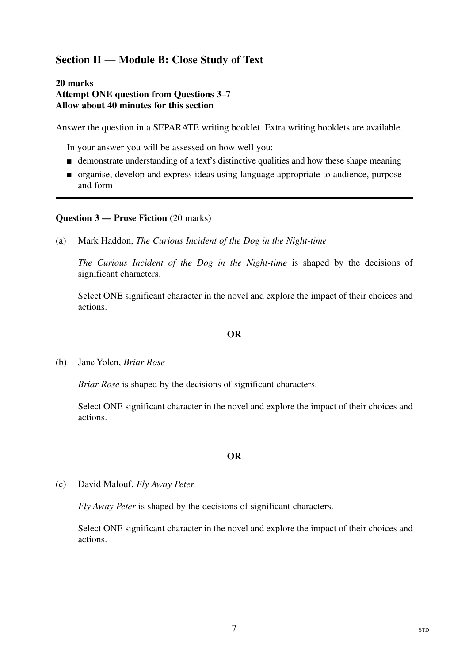# **Section II — Module B: Close Study of Text**

#### **20 marks Attempt ONE question from Questions 3–7 Allow about 40 minutes for this section**

Answer the question in a SEPARATE writing booklet. Extra writing booklets are available.

In your answer you will be assessed on how well you:

- demonstrate understanding of a text's distinctive qualities and how these shape meaning
- organise, develop and express ideas using language appropriate to audience, purpose and form

#### **Question 3 — Prose Fiction** (20 marks)

(a) Mark Haddon, *The Curious Incident of the Dog in the Night-time* 

*The Curious Incident of the Dog in the Night-time* is shaped by the decisions of significant characters.

Select ONE significant character in the novel and explore the impact of their choices and actions.

#### **OR**

(b) Jane Yolen, *Briar Rose* 

*Briar Rose* is shaped by the decisions of significant characters.

Select ONE significant character in the novel and explore the impact of their choices and actions.

#### **OR**

(c) David Malouf, *Fly Away Peter* 

*Fly Away Peter* is shaped by the decisions of significant characters.

Select ONE significant character in the novel and explore the impact of their choices and actions.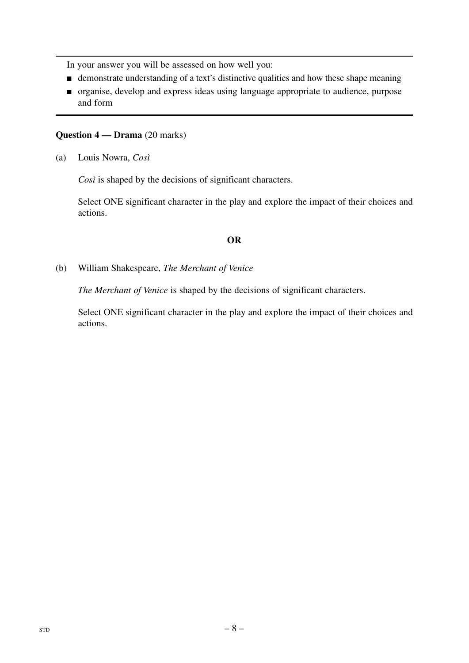- demonstrate understanding of a text's distinctive qualities and how these shape meaning
- organise, develop and express ideas using language appropriate to audience, purpose and form

#### **Question 4 — Drama** (20 marks)

(a) Louis Nowra, *Così* 

*Così* is shaped by the decisions of significant characters.

Select ONE significant character in the play and explore the impact of their choices and actions.

# **OR**

(b) William Shakespeare, *The Merchant of Venice* 

*The Merchant of Venice* is shaped by the decisions of significant characters.

Select ONE significant character in the play and explore the impact of their choices and actions.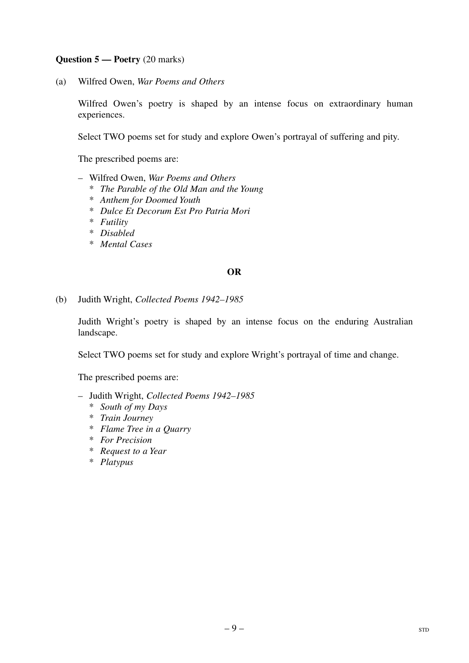# **Question 5 — Poetry** (20 marks)

(a) Wilfred Owen, *War Poems and Others* 

Wilfred Owen's poetry is shaped by an intense focus on extraordinary human experiences.

Select TWO poems set for study and explore Owen's portrayal of suffering and pity.

The prescribed poems are:

- Wilfred Owen, *War Poems and Others* 
	- \* *The Parable of the Old Man and the Young*
	- \* *Anthem for Doomed Youth*
	- \* *Dulce Et Decorum Est Pro Patria Mori*
	- \* *Futility*
	- \* *Disabled*
	- \* *Mental Cases*

#### **OR**

(b) Judith Wright, *Collected Poems 1942–1985* 

Judith Wright's poetry is shaped by an intense focus on the enduring Australian landscape.

Select TWO poems set for study and explore Wright's portrayal of time and change.

The prescribed poems are:

- Judith Wright, *Collected Poems 1942–1985* 
	- \* *South of my Days*
	- \* *Train Journey*
	- \* *Flame Tree in a Quarry*
	- \* *For Precision*
	- \* *Request to a Year*
	- \* *Platypus*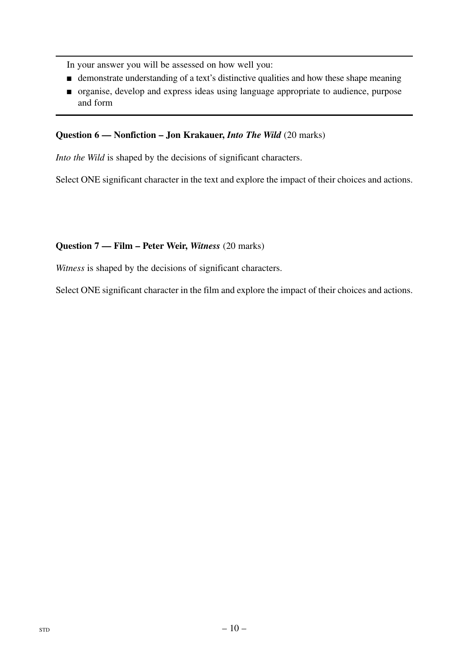- demonstrate understanding of a text's distinctive qualities and how these shape meaning
- organise, develop and express ideas using language appropriate to audience, purpose and form

# **Question 6 — Nonfiction – Jon Krakauer,** *Into The Wild* (20 marks)

*Into the Wild* is shaped by the decisions of significant characters.

Select ONE significant character in the text and explore the impact of their choices and actions.

# **Question 7 — Film – Peter Weir,** *Witness* (20 marks)

*Witness* is shaped by the decisions of significant characters.

Select ONE significant character in the film and explore the impact of their choices and actions.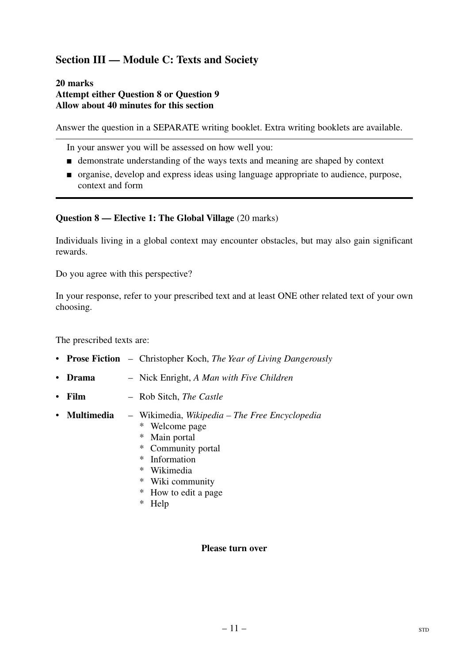# **Section III — Module C: Texts and Society**

#### **20 marks Attempt either Question 8 or Question 9 Allow about 40 minutes for this section**

Answer the question in a SEPARATE writing booklet. Extra writing booklets are available.

In your answer you will be assessed on how well you:

- demonstrate understanding of the ways texts and meaning are shaped by context
- organise, develop and express ideas using language appropriate to audience, purpose, context and form

#### **Question 8 — Elective 1: The Global Village** (20 marks)

Individuals living in a global context may encounter obstacles, but may also gain significant rewards.

Do you agree with this perspective?

In your response, refer to your prescribed text and at least ONE other related text of your own choosing.

The prescribed texts are:

- • **Prose Fiction**  Christopher Koch, *The Year of Living Dangerously*
- • **Drama**  Nick Enright, *A Man with Five Children*
- • **Film**  Rob Sitch, *The Castle*
- • **Multimedia**  Wikimedia, *Wikipedia The Free Encyclopedia* 
	- \* Welcome page
	- \* Main portal
	- \* Community portal
	- \* Information
	- \* Wikimedia
	- \* Wiki community
	- \* How to edit a page
	- \* Help

#### **Please turn over**